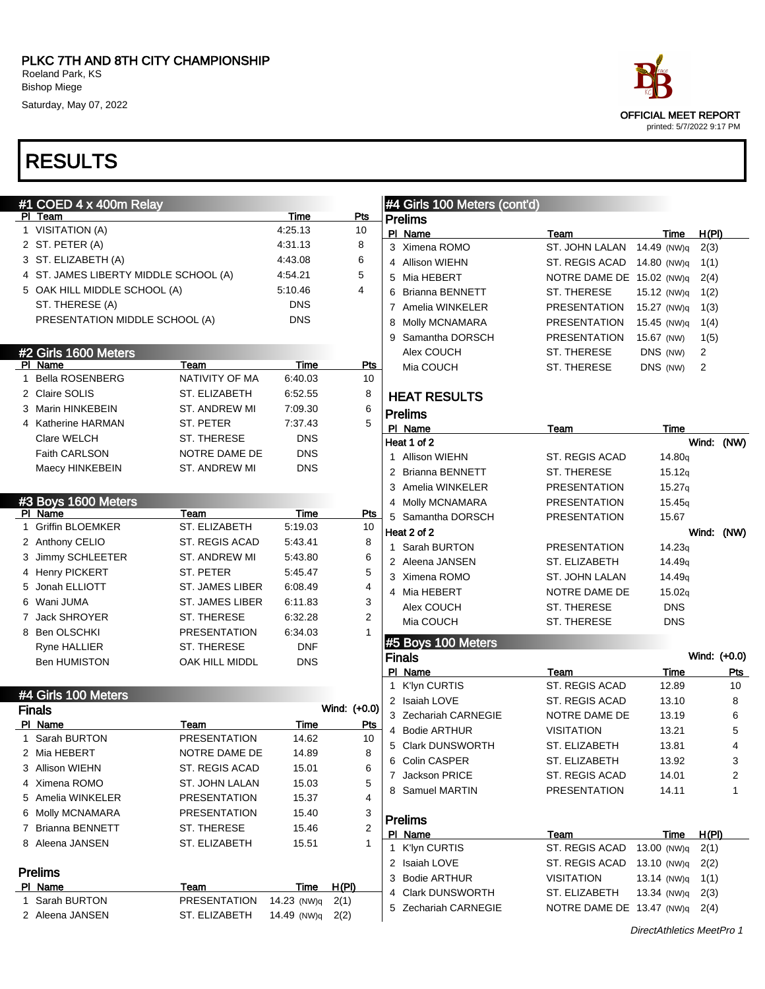

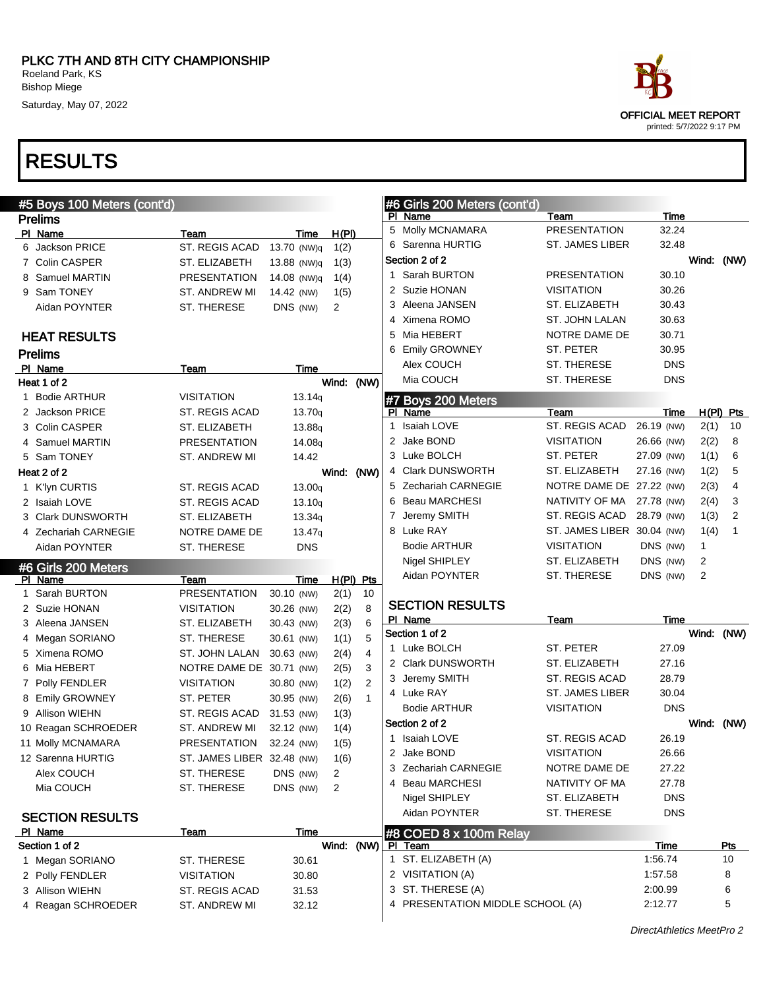

| #5 Boys 100 Meters (cont'd)           |                                 |                      |            |                         |   | #6 Girls 200 Meters (cont'd)                          |                            |                    |            |             |
|---------------------------------------|---------------------------------|----------------------|------------|-------------------------|---|-------------------------------------------------------|----------------------------|--------------------|------------|-------------|
| <b>Prelims</b>                        |                                 |                      |            |                         |   | PI Name                                               | Team                       | Time               |            |             |
| PI Name                               | Team                            | Time                 | H(PI)      |                         |   | 5 Molly MCNAMARA                                      | <b>PRESENTATION</b>        | 32.24              |            |             |
| 6 Jackson PRICE                       | ST. REGIS ACAD                  | 13.70 (NW)q          | 1(2)       |                         |   | 6 Sarenna HURTIG                                      | <b>ST. JAMES LIBER</b>     | 32.48              |            |             |
| 7 Colin CASPER                        | ST. ELIZABETH                   | 13.88 (NW)g          | 1(3)       |                         |   | Section 2 of 2                                        |                            |                    | Wind: (NW) |             |
| 8 Samuel MARTIN                       | <b>PRESENTATION</b>             | 14.08 (NW)q          | 1(4)       |                         |   | 1 Sarah BURTON                                        | <b>PRESENTATION</b>        | 30.10              |            |             |
| 9 Sam TONEY                           | ST. ANDREW MI                   | 14.42 (NW)           | 1(5)       |                         |   | 2 Suzie HONAN                                         | <b>VISITATION</b>          | 30.26              |            |             |
| Aidan POYNTER                         | ST. THERESE                     | DNS (NW)             | 2          |                         |   | 3 Aleena JANSEN                                       | ST. ELIZABETH              | 30.43              |            |             |
|                                       |                                 |                      |            |                         |   | 4 Ximena ROMO                                         | ST. JOHN LALAN             | 30.63              |            |             |
| <b>HEAT RESULTS</b>                   |                                 |                      |            |                         | 5 | Mia HEBERT                                            | NOTRE DAME DE              | 30.71              |            |             |
|                                       |                                 |                      |            |                         | 6 | <b>Emily GROWNEY</b>                                  | ST. PETER                  | 30.95              |            |             |
| <b>Prelims</b><br>PI Name             |                                 | Time                 |            |                         |   | Alex COUCH                                            | ST. THERESE                | <b>DNS</b>         |            |             |
| Heat 1 of 2                           | Team                            |                      | Wind:      | (NW)                    |   | Mia COUCH                                             | ST. THERESE                | <b>DNS</b>         |            |             |
| 1 Bodie ARTHUR                        | <b>VISITATION</b>               | 13.14q               |            |                         |   |                                                       |                            |                    |            |             |
| 2 Jackson PRICE                       | ST. REGIS ACAD                  | 13.70q               |            |                         |   | #7 Boys 200 Meters<br>PI Name                         | Team                       | Time               |            | $H(PI)$ Pts |
| 3 Colin CASPER                        | ST. ELIZABETH                   | 13.88q               |            |                         |   | 1 Isaiah LOVE                                         | ST. REGIS ACAD             | 26.19 (NW)         | 2(1)       | 10          |
| 4 Samuel MARTIN                       | <b>PRESENTATION</b>             | 14.08 <sub>q</sub>   |            |                         |   | 2 Jake BOND                                           | <b>VISITATION</b>          | 26.66 (NW)         | 2(2)       | 8           |
| 5 Sam TONEY                           | ST. ANDREW MI                   | 14.42                |            |                         |   | 3 Luke BOLCH                                          | ST. PETER                  | 27.09 (NW)         | 1(1)       | 6           |
| Heat 2 of 2                           |                                 |                      | Wind:      | (NW)                    |   | 4 Clark DUNSWORTH                                     | ST. ELIZABETH              | 27.16 (NW)         | 1(2)       | 5           |
| 1 K'lyn CURTIS                        | ST. REGIS ACAD                  | 13.00q               |            |                         |   | 5 Zechariah CARNEGIE                                  | NOTRE DAME DE 27.22 (NW)   |                    | 2(3)       | 4           |
| 2 Isaiah LOVE                         | ST. REGIS ACAD                  | 13.10q               |            |                         |   | 6 Beau MARCHESI                                       | NATIVITY OF MA 27.78 (NW)  |                    | 2(4)       | 3           |
| 3 Clark DUNSWORTH                     | ST. ELIZABETH                   |                      |            |                         |   | 7 Jeremy SMITH                                        | ST. REGIS ACAD             | 28.79 (NW)         | 1(3)       | 2           |
| 4 Zechariah CARNEGIE                  | NOTRE DAME DE                   | 13.34q               |            |                         |   | 8 Luke RAY                                            | ST. JAMES LIBER 30.04 (NW) |                    | 1(4)       | 1           |
| Aidan POYNTER                         | <b>ST. THERESE</b>              | 13.47q<br><b>DNS</b> |            |                         |   | <b>Bodie ARTHUR</b>                                   | <b>VISITATION</b>          | DNS (NW)           | 1          |             |
|                                       |                                 |                      |            |                         |   | Nigel SHIPLEY                                         | ST. ELIZABETH              | DNS (NW)           | 2          |             |
| #6 Girls 200 Meters                   |                                 |                      |            |                         |   | Aidan POYNTER                                         | ST. THERESE                | DNS (NW)           | 2          |             |
| PI Name                               | Team                            | Time                 |            | $H(PI)$ Pts             |   |                                                       |                            |                    |            |             |
| 1 Sarah BURTON                        | <b>PRESENTATION</b>             | 30.10 (NW)           | 2(1)       | 10                      |   | <b>SECTION RESULTS</b>                                |                            |                    |            |             |
| 2 Suzie HONAN                         | <b>VISITATION</b>               | 30.26 (NW)           | 2(2)       | 8                       |   | PI Name                                               | Team                       | Time               |            |             |
| 3 Aleena JANSEN                       | ST. ELIZABETH                   | 30.43 (NW)           | 2(3)       | 6                       |   | Section 1 of 2                                        |                            |                    | Wind: (NW) |             |
| 4 Megan SORIANO                       | <b>ST. THERESE</b>              | 30.61 (NW)           | 1(1)       | 5                       |   | 1 Luke BOLCH                                          | ST. PETER                  | 27.09              |            |             |
| 5 Ximena ROMO                         | ST. JOHN LALAN                  | 30.63 (NW)           | 2(4)       | $\overline{\mathbf{4}}$ |   | 2 Clark DUNSWORTH                                     | ST. ELIZABETH              | 27.16              |            |             |
| 6 Mia HEBERT                          | NOTRE DAME DE 30.71 (NW)        |                      | 2(5)       | 3                       |   | 3 Jeremy SMITH                                        | <b>ST. REGIS ACAD</b>      | 28.79              |            |             |
| 7 Polly FENDLER                       | <b>VISITATION</b>               | 30.80 (NW)           | 1(2)       | $\overline{2}$          |   | 4 Luke RAY                                            | <b>ST. JAMES LIBER</b>     | 30.04              |            |             |
| 8 Emily GROWNEY                       | <b>ST. PETER</b>                | 30.95 (NW)           | 2(6)       | $\mathbf{1}$            |   | <b>Bodie ARTHUR</b>                                   | <b>VISITATION</b>          | <b>DNS</b>         |            |             |
| 9 Allison WIEHN                       | ST. REGIS ACAD                  | 31.53 (NW)           | 1(3)       |                         |   | Section 2 of 2                                        |                            |                    | Wind: (NW) |             |
| 10 Reagan SCHROEDER                   | ST. ANDREW MI                   | 32.12 (NW)           | 1(4)       |                         |   | 1 Isaiah LOVE                                         | ST. REGIS ACAD             | 26.19              |            |             |
| 11 Molly MCNAMARA                     | <b>PRESENTATION</b>             | 32.24 (NW)           | 1(5)       |                         |   | 2 Jake BOND                                           | <b>VISITATION</b>          | 26.66              |            |             |
| 12 Sarenna HURTIG                     | ST. JAMES LIBER 32.48 (NW)      |                      | 1(6)       |                         |   | 3 Zechariah CARNEGIE                                  | NOTRE DAME DE              | 27.22              |            |             |
| Alex COUCH                            | ST. THERESE                     | DNS (NW)             | 2          |                         |   | 4 Beau MARCHESI                                       | NATIVITY OF MA             | 27.78              |            |             |
| Mia COUCH                             | ST. THERESE                     | DNS (NW)             | 2          |                         |   | Nigel SHIPLEY                                         | ST. ELIZABETH              | <b>DNS</b>         |            |             |
|                                       |                                 |                      |            |                         |   | Aidan POYNTER                                         | ST. THERESE                | <b>DNS</b>         |            |             |
| <b>SECTION RESULTS</b>                |                                 |                      |            |                         |   |                                                       |                            |                    |            |             |
|                                       |                                 |                      |            |                         |   | #8 COED 8 x 100m Relay                                |                            |                    |            |             |
| PI Name                               | Team                            | Time                 |            |                         |   |                                                       |                            |                    |            |             |
| Section 1 of 2                        |                                 |                      | Wind: (NW) |                         |   | PI Team                                               |                            | <b>Time</b>        |            | Pts         |
| 1 Megan SORIANO                       | ST. THERESE                     | 30.61                |            |                         |   | 1 ST. ELIZABETH (A)                                   |                            | 1:56.74            |            | 10          |
| 2 Polly FENDLER                       | <b>VISITATION</b>               | 30.80                |            |                         |   | 2 VISITATION (A)                                      |                            | 1:57.58            |            | 8           |
| 3 Allison WIEHN<br>4 Reagan SCHROEDER | ST. REGIS ACAD<br>ST. ANDREW MI | 31.53<br>32.12       |            |                         |   | 3 ST. THERESE (A)<br>4 PRESENTATION MIDDLE SCHOOL (A) |                            | 2:00.99<br>2:12.77 |            | 6<br>5      |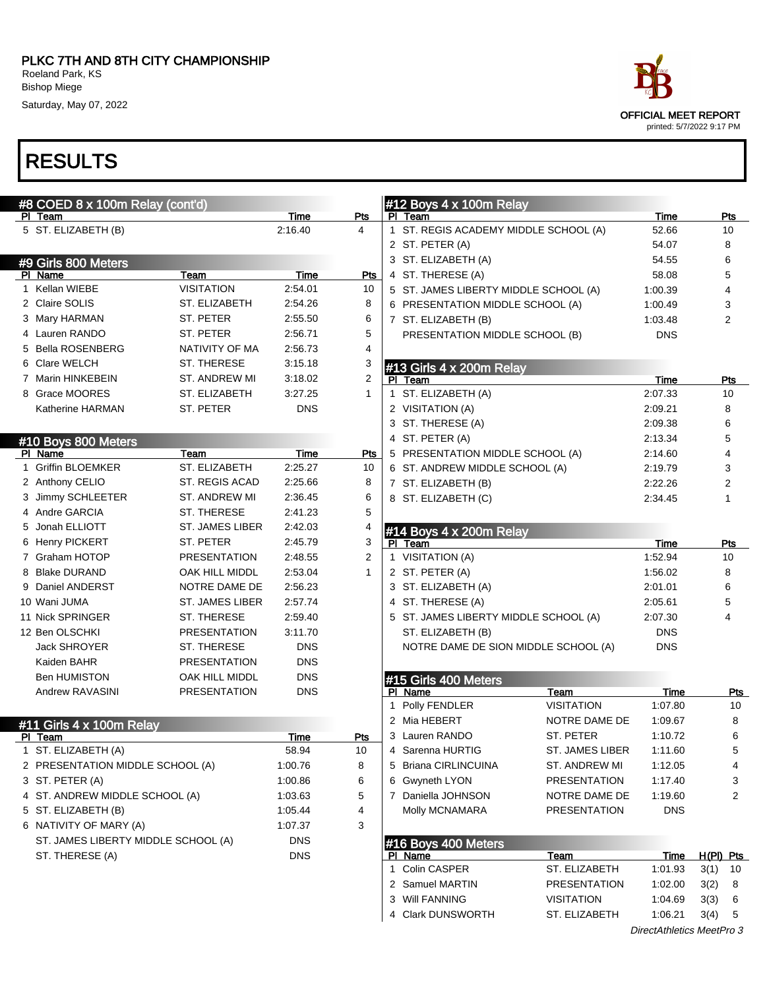| #8 COED 8 x 100m Relay (cont'd)     |                     |            |                 |                     | #12 Boys $4 \times 100$ m Relay       |                     |                        |             |                |
|-------------------------------------|---------------------|------------|-----------------|---------------------|---------------------------------------|---------------------|------------------------|-------------|----------------|
| PI Team                             |                     | Time       | Pts             | PL.                 | Team                                  |                     | Time                   |             | Pts            |
| 5 ST. ELIZABETH (B)                 |                     | 2:16.40    | 4               |                     | 1 ST. REGIS ACADEMY MIDDLE SCHOOL (A) |                     | 52.66                  |             | 10             |
|                                     |                     |            |                 |                     | 2 ST. PETER (A)                       |                     | 54.07                  |             | 8              |
| #9 Girls 800 Meters                 |                     |            |                 |                     | 3 ST. ELIZABETH (A)                   |                     | 54.55                  |             | 6              |
| PI Name                             | Team                | Time       | <b>Pts</b>      |                     | 4 ST. THERESE (A)                     |                     | 58.08                  |             | 5              |
| 1 Kellan WIEBE                      | <b>VISITATION</b>   | 2:54.01    | 10              |                     | 5 ST. JAMES LIBERTY MIDDLE SCHOOL (A) |                     | 1:00.39                |             | 4              |
| 2 Claire SOLIS                      | ST. ELIZABETH       | 2:54.26    | 8               |                     | 6 PRESENTATION MIDDLE SCHOOL (A)      |                     | 1:00.49                |             | 3              |
| 3 Mary HARMAN                       | <b>ST. PETER</b>    | 2:55.50    | 6               |                     | 7 ST. ELIZABETH (B)                   |                     | 1:03.48                |             | $\overline{2}$ |
| 4 Lauren RANDO                      | ST. PETER           | 2:56.71    | 5               |                     | PRESENTATION MIDDLE SCHOOL (B)        |                     | <b>DNS</b>             |             |                |
| 5 Bella ROSENBERG                   | NATIVITY OF MA      | 2:56.73    | 4               |                     |                                       |                     |                        |             |                |
| 6 Clare WELCH                       | ST. THERESE         | 3:15.18    | 3               |                     | #13 Girls 4 x 200m Relay              |                     |                        |             |                |
| 7 Marin HINKEBEIN                   | ST. ANDREW MI       | 3:18.02    | 2               |                     | PI Team                               |                     | Time                   |             | Pts            |
| 8 Grace MOORES                      | ST. ELIZABETH       | 3:27.25    | $\mathbf{1}$    |                     | 1 ST. ELIZABETH (A)                   |                     | 2:07.33                |             | 10             |
| Katherine HARMAN                    | ST. PETER           | <b>DNS</b> |                 |                     | 2 VISITATION (A)                      |                     | 2:09.21                |             | 8              |
|                                     |                     |            |                 |                     | 3 ST. THERESE (A)                     |                     | 2:09.38                |             | 6              |
| #10 Boys 800 Meters                 |                     |            |                 |                     | 4 ST. PETER (A)                       |                     | 2:13.34                |             | 5              |
| PI Name                             | Team                | Time       | Pts             |                     | 5 PRESENTATION MIDDLE SCHOOL (A)      |                     | 2:14.60                |             | 4              |
| 1 Griffin BLOEMKER                  | ST. ELIZABETH       | 2:25.27    | 10              |                     | 6 ST. ANDREW MIDDLE SCHOOL (A)        |                     | 2:19.79                |             | 3              |
| 2 Anthony CELIO                     | ST. REGIS ACAD      | 2:25.66    | 8               |                     | 7 ST. ELIZABETH (B)                   |                     | 2:22.26                |             | 2              |
| 3 Jimmy SCHLEETER                   | ST. ANDREW MI       | 2:36.45    | 6               |                     | 8 ST. ELIZABETH (C)                   |                     | 2:34.45                |             | 1              |
| 4 Andre GARCIA                      | ST. THERESE         | 2:41.23    | 5               |                     |                                       |                     |                        |             |                |
| 5 Jonah ELLIOTT                     | ST. JAMES LIBER     | 2:42.03    | 4               |                     | #14 Boys 4 x 200m Relay               |                     |                        |             |                |
| 6 Henry PICKERT                     | ST. PETER           | 2:45.79    | 3               |                     | PI Team                               |                     | <b>Time</b>            |             | Pts            |
| 7 Graham HOTOP                      | PRESENTATION        | 2:48.55    | $\overline{2}$  |                     | 1 VISITATION (A)                      |                     | 1:52.94                |             | 10             |
| 8 Blake DURAND                      | OAK HILL MIDDL      | 2.53.04    | $\mathbf{1}$    | 2 ST. PETER (A)     |                                       | 1:56.02             |                        | 8           |                |
| 9 Daniel ANDERST                    | NOTRE DAME DE       | 2:56.23    |                 | 3 ST. ELIZABETH (A) |                                       | 2:01.01             |                        | 6           |                |
| 10 Wani JUMA                        | ST. JAMES LIBER     | 2:57.74    |                 | 4 ST. THERESE (A)   |                                       | 2:05.61             |                        | 5           |                |
| 11 Nick SPRINGER                    | ST. THERESE         | 2:59.40    |                 |                     | 5 ST. JAMES LIBERTY MIDDLE SCHOOL (A) |                     | 2:07.30                |             | 4              |
| 12 Ben OLSCHKI                      | <b>PRESENTATION</b> | 3:11.70    |                 |                     | ST. ELIZABETH (B)                     |                     | <b>DNS</b>             |             |                |
| <b>Jack SHROYER</b>                 | ST. THERESE         | <b>DNS</b> |                 |                     | NOTRE DAME DE SION MIDDLE SCHOOL (A)  |                     | <b>DNS</b>             |             |                |
| Kaiden BAHR                         | <b>PRESENTATION</b> | <b>DNS</b> |                 |                     |                                       |                     |                        |             |                |
| <b>Ben HUMISTON</b>                 | OAK HILL MIDDL      | <b>DNS</b> |                 |                     | #15 Girls 400 Meters                  |                     |                        |             |                |
| Andrew RAVASINI                     | <b>PRESENTATION</b> | <b>DNS</b> |                 |                     | PI Name                               | Team                | <b>Time</b>            |             | <u>Pts</u>     |
|                                     |                     |            |                 | 1                   | Polly FENDLER                         | <b>VISITATION</b>   | 1:07.80                |             | 10             |
|                                     |                     |            |                 |                     | 2 Mia HEBERT                          | NOTRE DAME DE       | 1:09.67                |             | 8              |
| #11 Girls 4 x 100m Relay<br>PI Team |                     | Time       | Pts             |                     | 3 Lauren RANDO                        | ST. PETER           | 1:10.72                |             | 6              |
| 1 ST. ELIZABETH (A)                 |                     | 58.94      | 10 <sub>1</sub> |                     | 4 Sarenna HURTIG                      | ST. JAMES LIBER     | 1:11.60                |             | 5              |
| 2 PRESENTATION MIDDLE SCHOOL (A)    |                     | 1:00.76    | 8               |                     | 5 Briana CIRLINCUINA                  | ST. ANDREW MI       | 1:12.05                |             | 4              |
| 3 ST. PETER (A)                     |                     | 1:00.86    | 6               |                     | 6 Gwyneth LYON                        | <b>PRESENTATION</b> | 1:17.40                |             | 3              |
| 4 ST. ANDREW MIDDLE SCHOOL (A)      |                     | 1:03.63    | 5               |                     | 7 Daniella JOHNSON                    | NOTRE DAME DE       | 1:19.60                |             | $\overline{2}$ |
| 5 ST. ELIZABETH (B)                 |                     | 1:05.44    | 4               |                     | Molly MCNAMARA                        | <b>PRESENTATION</b> | <b>DNS</b>             |             |                |
| 6 NATIVITY OF MARY (A)              |                     | 1:07.37    | 3               |                     |                                       |                     |                        |             |                |
| ST. JAMES LIBERTY MIDDLE SCHOOL (A) |                     | <b>DNS</b> |                 |                     |                                       |                     |                        |             |                |
|                                     |                     |            |                 |                     | #16 Boys 400 Meters<br>PI Name        | Team                |                        |             |                |
| ST. THERESE (A)                     |                     | <b>DNS</b> |                 |                     | 1 Colin CASPER                        | ST. ELIZABETH       | <b>Time</b><br>1:01.93 | $H(PI)$ Pts |                |
|                                     |                     |            |                 |                     | 2 Samuel MARTIN                       |                     |                        | 3(1)        | 10             |
|                                     |                     |            |                 |                     |                                       | <b>PRESENTATION</b> | 1:02.00                | 3(2)        | 8              |
|                                     |                     |            |                 |                     | 3 Will FANNING                        | <b>VISITATION</b>   | 1:04.69                | 3(3)        | 6              |
|                                     |                     |            |                 |                     | 4 Clark DUNSWORTH                     | ST. ELIZABETH       | 1:06.21                | 3(4)        | 5              |

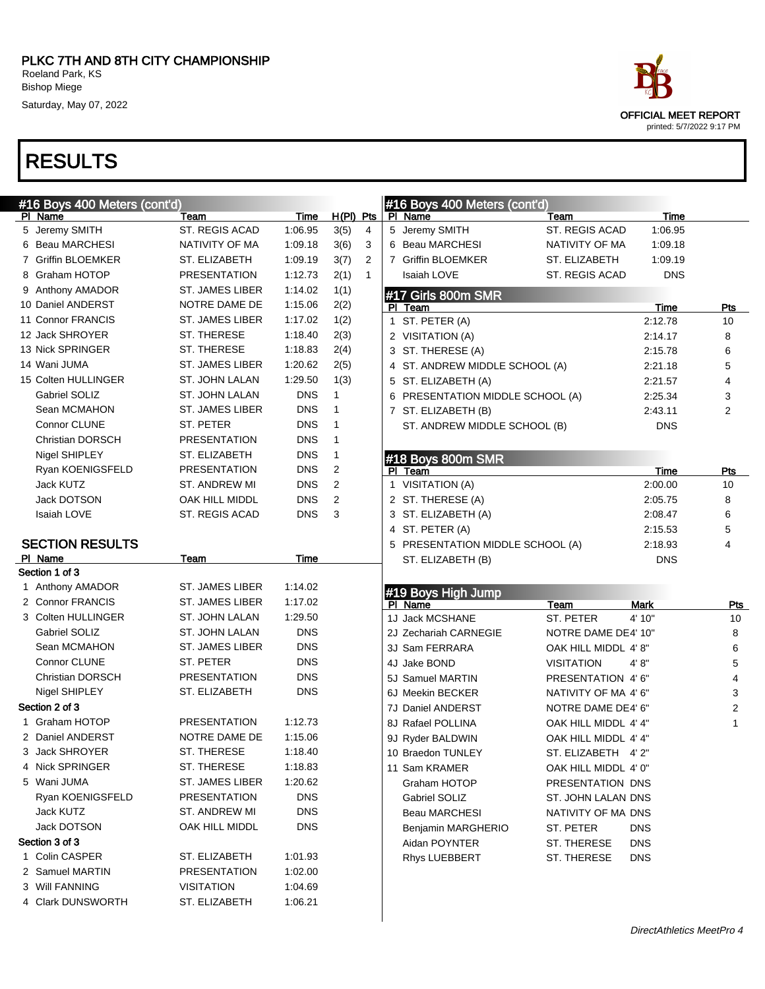| #16 Boys 400 Meters (cont'd) |                         |                        |            |              |                |  | #16 Boys 400 Meters (cont'd)     |                            |             |              |
|------------------------------|-------------------------|------------------------|------------|--------------|----------------|--|----------------------------------|----------------------------|-------------|--------------|
|                              | PI Name                 | Team                   | Time       | $H(PI)$ Pts  |                |  | PI Name                          | Team                       | Time        |              |
|                              | 5 Jeremy SMITH          | ST. REGIS ACAD         | 1:06.95    | 3(5)         | 4              |  | 5 Jeremy SMITH                   | ST. REGIS ACAD             | 1:06.95     |              |
|                              | 6 Beau MARCHESI         | NATIVITY OF MA         | 1:09.18    | 3(6)         | 3              |  | 6 Beau MARCHESI                  | NATIVITY OF MA             | 1:09.18     |              |
|                              | 7 Griffin BLOEMKER      | ST. ELIZABETH          | 1:09.19    | 3(7)         | $\overline{2}$ |  | 7 Griffin BLOEMKER               | ST. ELIZABETH              | 1:09.19     |              |
|                              | 8 Graham HOTOP          | <b>PRESENTATION</b>    | 1:12.73    | 2(1)         | $\mathbf{1}$   |  | Isaiah LOVE                      | ST. REGIS ACAD             | <b>DNS</b>  |              |
|                              | 9 Anthony AMADOR        | <b>ST. JAMES LIBER</b> | 1:14.02    | 1(1)         |                |  | #17 Girls 800m SMR               |                            |             |              |
|                              | 10 Daniel ANDERST       | NOTRE DAME DE          | 1:15.06    | 2(2)         |                |  | PI Team                          |                            | Time        | Pts          |
|                              | 11 Connor FRANCIS       | <b>ST. JAMES LIBER</b> | 1:17.02    | 1(2)         |                |  | 1 ST. PETER (A)                  |                            | 2:12.78     | 10           |
|                              | 12 Jack SHROYER         | ST. THERESE            | 1:18.40    | 2(3)         |                |  | 2 VISITATION (A)                 |                            | 2:14.17     | 8            |
|                              | 13 Nick SPRINGER        | ST. THERESE            | 1:18.83    | 2(4)         |                |  | 3 ST. THERESE (A)                |                            | 2:15.78     | 6            |
|                              | 14 Wani JUMA            | <b>ST. JAMES LIBER</b> | 1:20.62    | 2(5)         |                |  | 4 ST. ANDREW MIDDLE SCHOOL (A)   |                            | 2:21.18     | 5            |
|                              | 15 Colten HULLINGER     | ST. JOHN LALAN         | 1:29.50    | 1(3)         |                |  | 5 ST. ELIZABETH (A)              |                            | 2:21.57     | 4            |
|                              | Gabriel SOLIZ           | ST. JOHN LALAN         | <b>DNS</b> | $\mathbf{1}$ |                |  | 6 PRESENTATION MIDDLE SCHOOL (A) |                            | 2:25.34     | 3            |
|                              | Sean MCMAHON            | <b>ST. JAMES LIBER</b> | <b>DNS</b> | 1            |                |  | 7 ST. ELIZABETH (B)              |                            | 2:43.11     | 2            |
|                              | Connor CLUNE            | ST. PETER              | <b>DNS</b> | 1            |                |  | ST. ANDREW MIDDLE SCHOOL (B)     |                            | DNS         |              |
|                              | <b>Christian DORSCH</b> | <b>PRESENTATION</b>    | <b>DNS</b> | 1            |                |  |                                  |                            |             |              |
|                              | Nigel SHIPLEY           | ST. ELIZABETH          | <b>DNS</b> | $\mathbf{1}$ |                |  | #18 Boys 800m SMR                |                            |             |              |
|                              | Ryan KOENIGSFELD        | <b>PRESENTATION</b>    | <b>DNS</b> | 2            |                |  | PI Team                          |                            | Time        | <b>Pts</b>   |
|                              | Jack KUTZ               | <b>ST. ANDREW MI</b>   | <b>DNS</b> | 2            |                |  | 1 VISITATION (A)                 |                            | 2:00.00     | 10           |
|                              | Jack DOTSON             | OAK HILL MIDDL         | <b>DNS</b> | 2            |                |  | 2 ST. THERESE (A)                |                            | 2:05.75     | 8            |
|                              | Isaiah LOVE             | <b>ST. REGIS ACAD</b>  | <b>DNS</b> | 3            |                |  | 3 ST. ELIZABETH (A)              |                            | 2:08.47     | 6            |
|                              |                         |                        |            |              |                |  | 4 ST. PETER (A)                  |                            | 2:15.53     | 5            |
|                              | <b>SECTION RESULTS</b>  |                        |            |              |                |  | 5 PRESENTATION MIDDLE SCHOOL (A) |                            | 2:18.93     | 4            |
|                              | PI Name                 | Team                   | Time       |              |                |  | ST. ELIZABETH (B)                |                            | DNS         |              |
|                              | Section 1 of 3          |                        |            |              |                |  |                                  |                            |             |              |
|                              | 1 Anthony AMADOR        | <b>ST. JAMES LIBER</b> | 1:14.02    |              |                |  | #19 Boys High Jump               |                            |             |              |
|                              | 2 Connor FRANCIS        | <b>ST. JAMES LIBER</b> | 1:17.02    |              |                |  | PI Name                          | Team                       | <b>Mark</b> | Pts          |
|                              | 3 Colten HULLINGER      | ST. JOHN LALAN         | 1:29.50    |              |                |  | 1J Jack MCSHANE                  | ST. PETER                  | 4' 10"      | 10           |
|                              | Gabriel SOLIZ           | ST. JOHN LALAN         | <b>DNS</b> |              |                |  | 2J Zechariah CARNEGIE            | NOTRE DAME DE4' 10"        |             | 8            |
|                              | Sean MCMAHON            | <b>ST. JAMES LIBER</b> | <b>DNS</b> |              |                |  | 3J Sam FERRARA                   | OAK HILL MIDDL 4'8"        |             | 6            |
|                              | Connor CLUNE            | ST. PETER              | <b>DNS</b> |              |                |  | 4J Jake BOND                     | <b>VISITATION</b>          | 4' 8''      | 5            |
|                              | Christian DORSCH        | <b>PRESENTATION</b>    | <b>DNS</b> |              |                |  | 5J Samuel MARTIN                 | PRESENTATION 4'6"          |             | 4            |
|                              | Nigel SHIPLEY           | ST. ELIZABETH          | <b>DNS</b> |              |                |  | 6J Meekin BECKER                 | NATIVITY OF MA 4'6"        |             | 3            |
|                              | Section 2 of 3          |                        |            |              |                |  | 7J Daniel ANDERST                | NOTRE DAME DE4' 6"         |             | 2            |
|                              | 1 Graham HOTOP          | <b>PRESENTATION</b>    | 1:12.73    |              |                |  | 8J Rafael POLLINA                | OAK HILL MIDDL 4' 4"       |             | $\mathbf{1}$ |
|                              | 2 Daniel ANDERST        | NOTRE DAME DE          | 1:15.06    |              |                |  | 9J Ryder BALDWIN                 | OAK HILL MIDDL 4' 4"       |             |              |
|                              | 3 Jack SHROYER          | ST. THERESE            | 1:18.40    |              |                |  | 10 Braedon TUNLEY                | ST. ELIZABETH 4'2"         |             |              |
|                              | 4 Nick SPRINGER         | ST. THERESE            | 1:18.83    |              |                |  | 11 Sam KRAMER                    | OAK HILL MIDDL 4' 0"       |             |              |
|                              | 5 Wani JUMA             | <b>ST. JAMES LIBER</b> | 1:20.62    |              |                |  | Graham HOTOP                     | PRESENTATION DNS           |             |              |
|                              | Ryan KOENIGSFELD        | PRESENTATION           | <b>DNS</b> |              |                |  | Gabriel SOLIZ                    | ST. JOHN LALAN DNS         |             |              |
|                              | Jack KUTZ               | ST. ANDREW MI          | <b>DNS</b> |              |                |  | <b>Beau MARCHESI</b>             | NATIVITY OF MA DNS         |             |              |
|                              | Jack DOTSON             | OAK HILL MIDDL         | <b>DNS</b> |              |                |  | Benjamin MARGHERIO               | ST. PETER                  | <b>DNS</b>  |              |
|                              | Section 3 of 3          |                        |            |              |                |  |                                  |                            |             |              |
|                              | 1 Colin CASPER          | ST. ELIZABETH          | 1:01.93    |              |                |  | Aidan POYNTER                    | ST. THERESE<br>ST. THERESE | <b>DNS</b>  |              |
|                              | 2 Samuel MARTIN         | <b>PRESENTATION</b>    | 1:02.00    |              |                |  | Rhys LUEBBERT                    |                            | <b>DNS</b>  |              |
|                              | 3 Will FANNING          | <b>VISITATION</b>      | 1:04.69    |              |                |  |                                  |                            |             |              |
|                              | 4 Clark DUNSWORTH       | ST. ELIZABETH          | 1:06.21    |              |                |  |                                  |                            |             |              |
|                              |                         |                        |            |              |                |  |                                  |                            |             |              |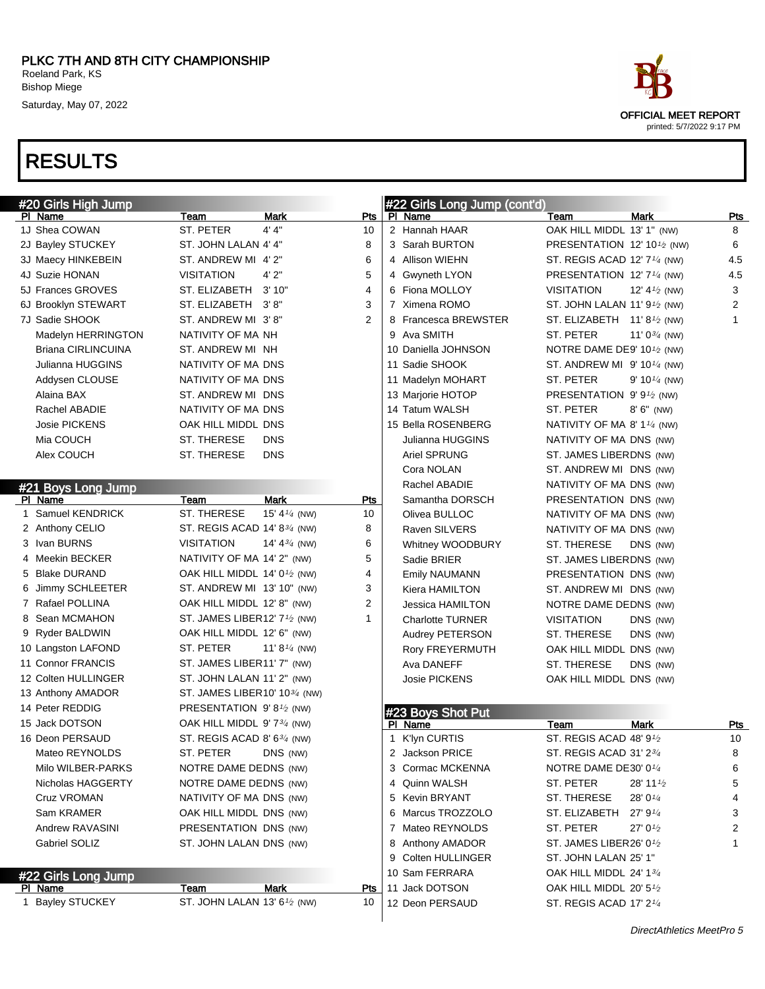#20 Girls High Jump

Madelyn HERRINGTON Briana CIRLINCUINA Julianna HUGGINS Addysen CLOUSE Alaina BAX Rachel ABADIE Josie PICKENS Mia COUCH Alex COUCH

#21 Boys Long Jump

1 Samuel KENDRICK 2 Anthony CELIO 3 Ivan BURNS 4 Meekin BECKER 5 Blake DURAND 6 Jimmy SCHLEETER 7 Rafael POLLINA 8 Sean MCMAHON 9 Ryder BALDWIN 10 Langston LAFOND 11 Connor FRANCIS 12 Colten HULLINGER 13 Anthony AMADOR 14 Peter REDDIG 15 Jack DOTSON 16 Deon PERSAUD Mateo REYNOLDS

PI Name

PI Name 1J Shea COWAN 2J Bayley STUCKEY 3J Maecy HINKEBEIN 4J Suzie HONAN 5J Frances GROVES 6J Brooklyn STEWART 7J Sadie SHOOK

|                                                   |                          |                | #22 Girls Long Jump (cont'd) |                                                      |                          |              |
|---------------------------------------------------|--------------------------|----------------|------------------------------|------------------------------------------------------|--------------------------|--------------|
| Team                                              | Mark                     | Pts            | PI Name                      | Team                                                 | <b>Mark</b>              | Pts          |
| ST. PETER                                         | 4' 4"                    | 10             | 2 Hannah HAAR                | OAK HILL MIDDL 13' 1" (NW)                           |                          | 8            |
| ST. JOHN LALAN 4' 4"                              |                          | 8              | 3 Sarah BURTON               | PRESENTATION 12' 10 <sup>1</sup> / <sub>2</sub> (NW) |                          | 6            |
| ST. ANDREW MI 4'2"                                |                          | 6              | 4 Allison WIEHN              | ST. REGIS ACAD 12' 7 <sup>1/4</sup> (NW)             |                          | 4.5          |
| <b>VISITATION</b>                                 | 4'2"                     | 5              | 4 Gwyneth LYON               | PRESENTATION 12' 7 <sup>1/4</sup> (NW)               |                          | 4.5          |
| ST. ELIZABETH                                     | 3'10"                    | 4              | 6 Fiona MOLLOY               | <b>VISITATION</b>                                    | 12' $4\frac{1}{2}$ (NW)  | 3            |
| ST. ELIZABETH                                     | 3'8''                    | 3              | 7 Ximena ROMO                | ST. JOHN LALAN 11' 9 <sup>1</sup> /2 (NW)            |                          | 2            |
| ST. ANDREW MI 3'8"                                |                          | $\mathcal{P}$  | 8 Francesca BREWSTER         | ST. ELIZABETH $11' 8'$ (NW)                          |                          | $\mathbf{1}$ |
| NATIVITY OF MA NH                                 |                          |                | 9 Ava SMITH                  | ST. PETER                                            | 11' $0\frac{3}{4}$ (NW)  |              |
| ST. ANDREW MI NH                                  |                          |                | 10 Daniella JOHNSON          | NOTRE DAME DE9' 10 <sup>1</sup> / <sub>2</sub> (NW)  |                          |              |
| NATIVITY OF MA DNS                                |                          |                | 11 Sadie SHOOK               | ST. ANDREW MI 9' 10 <sup>1/4</sup> (NW)              |                          |              |
| NATIVITY OF MA DNS                                |                          |                | 11 Madelyn MOHART            | ST. PETER                                            | 9' 10 $\frac{1}{4}$ (NW) |              |
| ST. ANDREW MI DNS                                 |                          |                | 13 Marjorie HOTOP            | PRESENTATION 9'9 <sup>1</sup> / <sub>2</sub> (NW)    |                          |              |
| NATIVITY OF MA DNS                                |                          |                | 14 Tatum WALSH               | ST. PETER                                            | $8' 6''$ (NW)            |              |
| OAK HILL MIDDL DNS                                |                          |                | 15 Bella ROSENBERG           | NATIVITY OF MA 8' 1 <sup>1/4</sup> (NW)              |                          |              |
| ST. THERESE                                       | <b>DNS</b>               |                | Julianna HUGGINS             | NATIVITY OF MA DNS (NW)                              |                          |              |
| ST. THERESE                                       | <b>DNS</b>               |                | <b>Ariel SPRUNG</b>          | ST. JAMES LIBERDNS (NW)                              |                          |              |
|                                                   |                          |                | Cora NOLAN                   | ST. ANDREW MI DNS (NW)                               |                          |              |
|                                                   |                          |                | Rachel ABADIE                | NATIVITY OF MA DNS (NW)                              |                          |              |
| Team                                              | <b>Mark</b>              | Pts            | Samantha DORSCH              | PRESENTATION DNS (NW)                                |                          |              |
| ST. THERESE                                       | 15' 4 $\frac{1}{4}$ (NW) | 10             | Olivea BULLOC                | NATIVITY OF MA DNS (NW)                              |                          |              |
| ST. REGIS ACAD 14' 83/4 (NW)                      |                          | 8              | Raven SILVERS                | NATIVITY OF MA DNS (NW)                              |                          |              |
| <b>VISITATION</b>                                 | 14' $4\frac{3}{4}$ (NW)  | 6              | Whitney WOODBURY             | ST. THERESE                                          | DNS (NW)                 |              |
| NATIVITY OF MA 14' 2" (NW)                        |                          | 5              | Sadie BRIER                  | ST. JAMES LIBERDNS (NW)                              |                          |              |
| OAK HILL MIDDL 14' 0 <sup>1/2</sup> (NW)          |                          | 4              | <b>Emily NAUMANN</b>         | PRESENTATION DNS (NW)                                |                          |              |
| ST. ANDREW MI 13' 10" (NW)                        |                          | 3              | Kiera HAMILTON               | ST. ANDREW MI DNS (NW)                               |                          |              |
| OAK HILL MIDDL 12' 8" (NW)                        |                          | $\overline{2}$ | Jessica HAMILTON             | NOTRE DAME DEDNS (NW)                                |                          |              |
| ST. JAMES LIBER12' 7 <sup>1</sup> /2 (NW)         |                          | $\mathbf{1}$   | <b>Charlotte TURNER</b>      | <b>VISITATION</b>                                    | DNS (NW)                 |              |
| OAK HILL MIDDL 12' 6" (NW)                        |                          |                | Audrey PETERSON              | ST. THERESE                                          | DNS (NW)                 |              |
| ST. PETER                                         | 11' $8\frac{1}{4}$ (NW)  |                | Rory FREYERMUTH              | OAK HILL MIDDL DNS (NW)                              |                          |              |
| ST. JAMES LIBER11' 7" (NW)                        |                          |                | Ava DANEFF                   | ST. THERESE                                          | DNS (NW)                 |              |
| ST. JOHN LALAN 11' 2" (NW)                        |                          |                | Josie PICKENS                | OAK HILL MIDDL DNS (NW)                              |                          |              |
| ST. JAMES LIBER10' 1034 (NW)                      |                          |                |                              |                                                      |                          |              |
| PRESENTATION 9'8 <sup>1</sup> / <sub>2</sub> (NW) |                          |                | #23 Bovs Shot Put            |                                                      |                          |              |
| OAK HILL MIDDL 9' 73/4 (NW)                       |                          |                | PI Name                      | Team                                                 | <b>Mark</b>              | Pts          |
| ST. REGIS ACAD 8' 63/4 (NW)                       |                          |                | 1 K'lyn CURTIS               | ST. REGIS ACAD 48' 91/2                              |                          | 10           |
| ST. PETER                                         | DNS (NW)                 |                | 2 Jackson PRICE              | ST. REGIS ACAD 31' 23/4                              |                          | 8            |

| ΡI | Name             | Team                                 | Mark                   | Pts |
|----|------------------|--------------------------------------|------------------------|-----|
| 1  | K'lyn CURTIS     | ST. REGIS ACAD 48' $9\frac{1}{2}$    |                        | 10  |
|    | 2 Jackson PRICE  | ST. REGIS ACAD 31' 234               |                        | 8   |
|    | 3 Cormac MCKENNA | NOTRE DAME DE30' 01/4                |                        | 6   |
|    | 4 Quinn WALSH    | ST. PETER                            | $28'$ 11 $\frac{1}{2}$ | 5   |
|    | 5 Kevin BRYANT   | ST. THERESE                          | $28'0\frac{1}{4}$      | 4   |
| 6  | Marcus TROZZOLO  | ST. ELIZABETH $27'9''$               |                        | 3   |
| 7  | Mateo REYNOLDS   | ST. PETER                            | $27'0\%$               | 2   |
| 8  | Anthony AMADOR   | ST. JAMES LIBER26' 01/2              |                        |     |
| 9  | Colten HULLINGER | ST. JOHN LALAN 25' 1"                |                        |     |
|    | 10 Sam FERRARA   | OAK HILL MIDDL 24' 13/4              |                        |     |
|    | 11 Jack DOTSON   | OAK HILL MIDDL 20' 5 <sup>1</sup> /2 |                        |     |
|    | 12 Deon PERSAUD  | ST. REGIS ACAD 17' 2 <sup>1/4</sup>  |                        |     |
|    |                  |                                      |                        |     |

#### #22 Girls Long Jump PI Name Team Team Mark Pts

1 Bayley STUCKEY ST. JOHN LALAN 13' 6<sup>1</sup>/2 (NW) 10

Milo WILBER-PARKS NOTRE DAME DEDNS (NW) Nicholas HAGGERTY NOTRE DAME DEDNS (NW) Cruz VROMAN NATIVITY OF MA DNS (NW) Sam KRAMER OAK HILL MIDDL DNS (NW) Andrew RAVASINI PRESENTATION DNS (NW) Gabriel SOLIZ ST. JOHN LALAN DNS (NW)

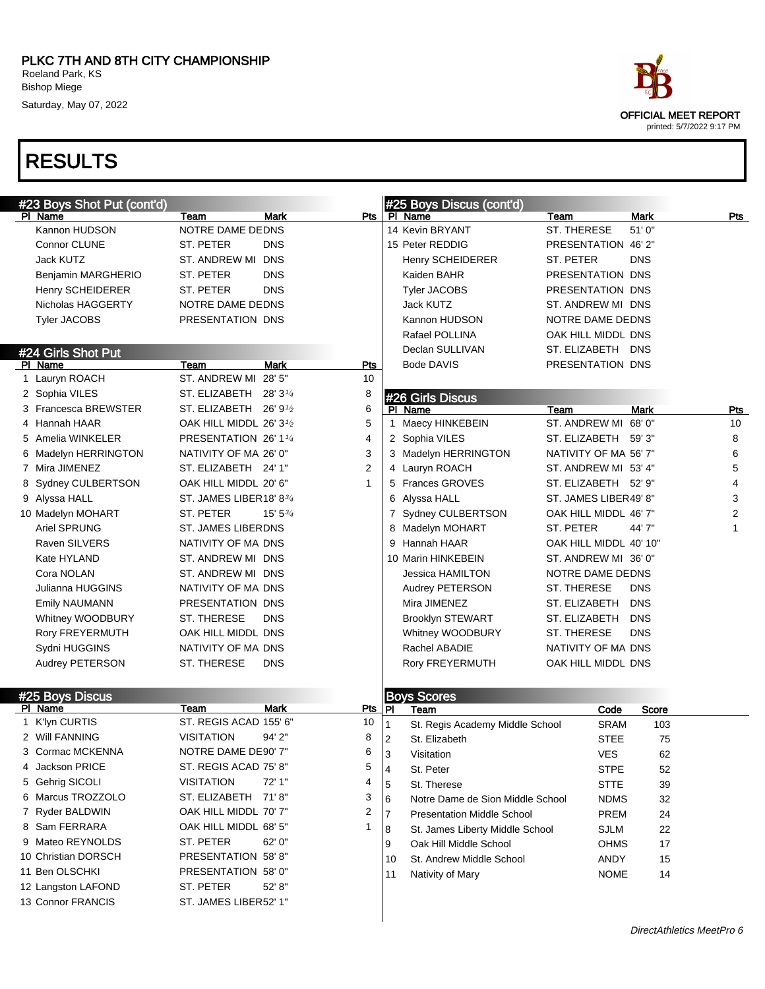| race                                                     |
|----------------------------------------------------------|
| <b>OFFICIAL MEET REPORT</b><br>printed: 5/7/2022 9:17 PM |

| #23 Boys Shot Put (cont'd) |                                      |                       |                |                | #25 Boys Discus (cont'd)                         |                        |              |            |
|----------------------------|--------------------------------------|-----------------------|----------------|----------------|--------------------------------------------------|------------------------|--------------|------------|
| PI Name                    | Team                                 | <b>Mark</b>           | Pts            |                | PI Name                                          | Team                   | <b>Mark</b>  | Pts        |
| Kannon HUDSON              | NOTRE DAME DEDNS                     |                       |                |                | 14 Kevin BRYANT                                  | ST. THERESE            | 51'0"        |            |
| Connor CLUNE               | ST. PETER                            | <b>DNS</b>            |                |                | 15 Peter REDDIG                                  | PRESENTATION 46'2"     |              |            |
| Jack KUTZ                  | ST. ANDREW MI DNS                    |                       |                |                | Henry SCHEIDERER                                 | ST. PETER              | <b>DNS</b>   |            |
| Benjamin MARGHERIO         | ST. PETER                            | <b>DNS</b>            |                |                | Kaiden BAHR                                      | PRESENTATION DNS       |              |            |
| Henry SCHEIDERER           | ST. PETER                            | <b>DNS</b>            |                |                | <b>Tyler JACOBS</b>                              | PRESENTATION DNS       |              |            |
| Nicholas HAGGERTY          | NOTRE DAME DEDNS                     |                       |                |                | Jack KUTZ                                        | ST. ANDREW MI DNS      |              |            |
| <b>Tyler JACOBS</b>        | PRESENTATION DNS                     |                       |                |                | Kannon HUDSON                                    | NOTRE DAME DEDNS       |              |            |
|                            |                                      |                       |                |                | Rafael POLLINA                                   | OAK HILL MIDDL DNS     |              |            |
| #24 Girls Shot Put         |                                      |                       |                |                | Declan SULLIVAN                                  | ST. ELIZABETH          | <b>DNS</b>   |            |
| PI Name                    | Team                                 | <b>Mark</b>           | <b>Pts</b>     |                | <b>Bode DAVIS</b>                                | PRESENTATION DNS       |              |            |
| 1 Lauryn ROACH             | ST. ANDREW MI 28' 5"                 |                       | 10             |                |                                                  |                        |              |            |
| 2 Sophia VILES             | ST. ELIZABETH $28'3'4$               |                       | 8              |                | #26 Girls Discus                                 |                        |              |            |
| 3 Francesca BREWSTER       | ST. ELIZABETH $26'9'2$               |                       | 6              |                | PI Name                                          | Team                   | <b>Mark</b>  | <b>Pts</b> |
| 4 Hannah HAAR              | OAK HILL MIDDL 26' 3 <sup>1</sup> /2 |                       | 5              |                | 1 Maecy HINKEBEIN                                | ST. ANDREW MI 68' 0"   |              | 10         |
| 5 Amelia WINKELER          | PRESENTATION 26' 11/4                |                       | $\overline{4}$ |                | 2 Sophia VILES                                   | ST. ELIZABETH          | 59' 3"       | 8          |
| 6 Madelyn HERRINGTON       | NATIVITY OF MA 26' 0"                |                       | 3              |                | 3 Madelyn HERRINGTON                             | NATIVITY OF MA 56' 7"  |              | 6          |
| 7 Mira JIMENEZ             | ST. ELIZABETH 24' 1"                 |                       | 2              |                | 4 Lauryn ROACH                                   | ST. ANDREW MI 53' 4"   |              | 5          |
| 8 Sydney CULBERTSON        | OAK HILL MIDDL 20' 6"                |                       | $\mathbf{1}$   |                | 5 Frances GROVES                                 | ST. ELIZABETH 52' 9"   |              | 4          |
| 9 Alyssa HALL              | ST. JAMES LIBER18' 83/4              |                       |                |                | 6 Alyssa HALL                                    | ST. JAMES LIBER49' 8"  |              | 3          |
| 10 Madelyn MOHART          | ST. PETER                            | $15'$ 5 $\frac{3}{4}$ |                |                | 7 Sydney CULBERTSON                              | OAK HILL MIDDL 46' 7"  |              | 2          |
| <b>Ariel SPRUNG</b>        | <b>ST. JAMES LIBERDNS</b>            |                       |                |                | 8 Madelyn MOHART                                 | ST. PETER              | 44' 7"       |            |
| Raven SILVERS              | NATIVITY OF MA DNS                   |                       |                |                | 9 Hannah HAAR                                    | OAK HILL MIDDL 40' 10" |              |            |
| Kate HYLAND                | ST. ANDREW MI DNS                    |                       |                |                | 10 Marin HINKEBEIN                               | ST. ANDREW MI 36' 0"   |              |            |
| Cora NOLAN                 | ST. ANDREW MI DNS                    |                       |                |                | Jessica HAMILTON                                 | NOTRE DAME DEDNS       |              |            |
| Julianna HUGGINS           | NATIVITY OF MA DNS                   |                       |                |                | <b>Audrey PETERSON</b>                           | ST. THERESE            | <b>DNS</b>   |            |
| <b>Emily NAUMANN</b>       | PRESENTATION DNS                     |                       |                |                | Mira JIMENEZ                                     | ST. ELIZABETH          | <b>DNS</b>   |            |
| Whitney WOODBURY           | ST. THERESE                          | <b>DNS</b>            |                |                | <b>Brooklyn STEWART</b>                          | ST. ELIZABETH          | <b>DNS</b>   |            |
| Rory FREYERMUTH            | OAK HILL MIDDL DNS                   |                       |                |                | <b>Whitney WOODBURY</b>                          | ST. THERESE            | <b>DNS</b>   |            |
| Sydni HUGGINS              | NATIVITY OF MA DNS                   |                       |                |                | Rachel ABADIE                                    | NATIVITY OF MA DNS     |              |            |
| Audrey PETERSON            | ST. THERESE                          | <b>DNS</b>            |                |                | Rory FREYERMUTH                                  | OAK HILL MIDDL DNS     |              |            |
|                            |                                      |                       |                |                |                                                  |                        |              |            |
| #25 Boys Discus<br>PI Name | Team                                 | <b>Mark</b>           | Pts            | PI             | <b>Boys Scores</b><br>Team                       | Code                   | <b>Score</b> |            |
| 1 K'lyn CURTIS             | ST. REGIS ACAD 155' 6"               |                       | 10             | 1              |                                                  | <b>SRAM</b>            | 103          |            |
| 2 Will FANNING             | <b>VISITATION</b>                    | 94' 2"                | 8              | $\overline{c}$ | St. Regis Academy Middle School<br>St. Elizabeth | <b>STEE</b>            | 75           |            |
| 3 Cormac MCKENNA           | NOTRE DAME DE90' 7"                  |                       | 6              | 3              |                                                  | <b>VES</b>             |              |            |
| 4 Jackson PRICE            | ST. REGIS ACAD 75' 8"                |                       | 5              |                | Visitation                                       |                        | 62           |            |
| 5 Gehrig SICOLI            | <b>VISITATION</b>                    | 72' 1"                | 4              | 4              | St. Peter                                        | <b>STPE</b>            | 52           |            |
| 6 Marcus TROZZOLO          | ST. ELIZABETH 71'8"                  |                       | 3              | 5              | St. Therese                                      | <b>STTE</b>            | 39           |            |
| 7 Ryder BALDWIN            | OAK HILL MIDDL 70' 7"                |                       | 2              | 6              | Notre Dame de Sion Middle School                 | <b>NDMS</b>            | 32           |            |
| 8 Sam FERRARA              | OAK HILL MIDDL 68' 5"                |                       | 1              | 7              | <b>Presentation Middle School</b>                | PREM                   | 24           |            |
| 9 Mateo REYNOLDS           | ST. PETER                            | 62' 0"                |                | 8              | St. James Liberty Middle School                  | <b>SJLM</b>            | 22           |            |
| 10 Christian DORSCH        | PRESENTATION 58' 8"                  |                       |                | 9              | Oak Hill Middle School                           | <b>OHMS</b>            | 17           |            |
| 11 Ben OLSCHKI             | PRESENTATION 58' 0"                  |                       |                | 10             | St. Andrew Middle School                         | ANDY                   | 15           |            |
| 12 Langston LAFOND         | ST. PETER                            | 52' 8''               |                | 11             | Nativity of Mary                                 | <b>NOME</b>            | 14           |            |
| 13 Connor FRANCIS          | ST. JAMES LIBER52' 1"                |                       |                |                |                                                  |                        |              |            |
|                            |                                      |                       |                |                |                                                  |                        |              |            |